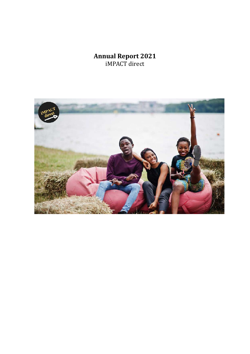# **Annual Report 2021** iMPACT direct

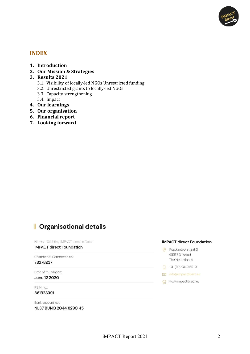

## **INDEX**

- **1. Introduction**
- **2. Our Mission & Strategies**
- **3. Results 2021**
	- 3.1. Visibility of locally-led NGOs Unrestricted funding
	- 3.2. Unrestricted grants to locally-led NGOs
	- 3.3. Capacity strengthening
	- 3.4. Impact
- **4. Our learnings**
- **5. Our organisation**
- **6. Financial report**
- **7. Looking forward**

# | Organisational details

Name: Stichting iMPACT direct in Dutch **iMPACT** direct Foundation

Chamber of Commerce no:

78278937

Date of foundation: June 12 2020

RSIN no.: 861328991

Bank account no.: NL37 BUNQ 2044 8290 45

#### **iMPACT direct Foundation**

- O Postkantoorstraat 3 6551BG Weurt The Netherlands
- $\Box$  +31(0)6 2340 6510
- info@impactdirect.eu
- www.impactdirect.eu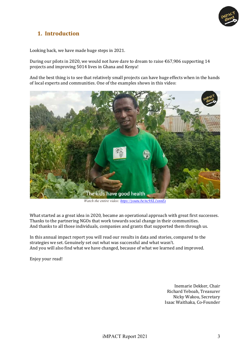

# **1. Introduction**

Looking back, we have made huge steps in 2021.

During our pilots in 2020, we would not have dare to dream to raise  $\epsilon$ 67,906 supporting 14 projects and improving 5014 lives in Ghana and Kenya!

And the best thing is to see that relatively small projects can have huge effects when in the hands of local experts and communities. One of the examples shows in this video:



*Watch the entire video: https://youtu.be/nc9XL1xnnEs*

What started as a great idea in 2020, became an operational approach with great first successes. Thanks to the partnering NGOs that work towards social change in their communities. And thanks to all those individuals, companies and grants that supported them through us.

In this annual impact report you will read our results in data and stories, compared to the strategies we set. Genuinely set out what was successful and what wasn't. And you will also find what we have changed, because of what we learned and improved.

Enjoy your read!

Inemarie Dekker, Chair Richard Yeboah, Treasurer Nicky Wakou, Secretary Isaac Waithaka, Co-Founder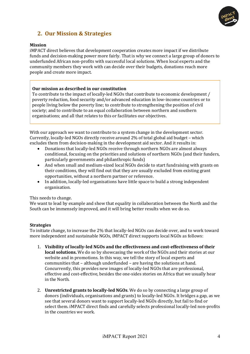

## **2. Our Mission & Strategies**

#### **Mission**

iMPACT direct believes that development cooperation creates more impact if we distribute funds and decision-making power more fairly. That is why we connect a large group of donors to underfunded African non-profits with successful local solutions. When local experts and the community members they work with can decide over their budgets, donations reach more people and create more impact.

#### **Our mission as described in our constitution**

To contribute to the impact of locally-led NGOs that contribute to economic development / poverty reduction, food security and/or advanced education in low-income countries or to people living below the poverty line; to contribute to strengthening the position of civil society; and to contribute to an equal collaboration between northern and southern organisations; and all that relates to this or facilitates our objectives.

With our approach we want to contribute to a system change in the development sector. Currently, locally-led NGOs directly receive around  $2\%$  of total global aid budget – which excludes them from decision-making in the development aid sector. And it results in:

- Donations that locally-led NGOs receive through northern NGOs are almost always conditional, focusing on the priorities and solutions of northern NGOs (and their funders, particularly governments and philanthropic funds)
- And when small and medium-sized local NGOs decide to start fundraising with grants on their conditions, they will find out that they are usually excluded from existing grant opportunities, without a northern partner or reference.
- In addition, locally-led organisations have little space to build a strong independent organisation.

#### This needs to change.

We want to lead by example and show that equality in collaboration between the North and the South can be immensely improved, and it will bring better results when we do so.

#### **Strategies**

To initiate change, to increase the 2% that locally-led NGOs can decide over, and to work toward more independent and sustainable NGOs, iMPACT direct supports local NGOs as follows:

- 1. Visibility of locally-led NGOs and the effectiveness and cost-effectiveness of their **local solutions.** We do so by showcasing the work of the NGOs and their stories at our website and in promotions. In this way, we tell the story of local experts and communities that  $-$  although underfunded  $-$  are having the solutions at hand. Concurrently, this provides new images of locally-led NGOs that are professional, effective and cost-effective, besides the one-sides stories on Africa that we usually hear in the North
- 2. **Unrestricted grants to locally-led NGOs**. We do so by connecting a large group of donors (individuals, organisations and grants) to locally-led NGOs. It bridges a gap, as we see that several donors want to support locally-led NGOs directly, but fail to find or select them. iMPACT direct finds and carefully selects professional locally-led non-profits in the countries we work.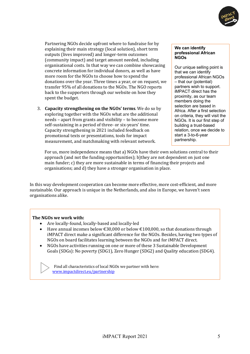

Partnering NGOs decide upfront where to fundraise for by explaining their main strategy (local solution), short term outputs (lives improved) and longer-term outcomes (community impact) and target amount needed, including organisational costs. In that way we can combine showcasing concrete information for individual donors, as well as have more room for the NGOs to choose how to spend the donations over the year. Three times a year, or on request, we transfer 95% of all donations to the NGOs. The NGO reports back to the supporters through our website on how they spent the budget.

3. **Capacity strengthening on the NGOs' terms**. We do so by exploring together with the NGOs what are the additional needs - apart from grants and visibility - to become more self-sustaining in a period of three- or six-years' time. Capacity strengthening in 2021 included feedback on promotional texts or presentations, tools for impact measurement, and matchmaking with relevant network.

#### **We can identify professional African NGOs**

Our unique selling point is that we can identify professional African NGOs – that our (potential) partners wish to support. iMPACT direct has the proximity, as our team members doing the selection are based in Africa. After a first selection on criteria, they will visit the NGOs. It is our first step of building a trust-based relation, once we decide to start a 3-to-6-year partnership.

For us, more independence means that a) NGOs have their own solutions central to their approach (and not the funding opportunities); b)they are not dependent on just one main funder; c) they are more sustainable in terms of financing their projects and organisations; and d) they have a stronger organisation in place.

In this way development cooperation can become more effective, more cost-efficient, and more sustainable. Our approach is unique in the Netherlands, and also in Europe, we haven't seen organisations alike.

#### The NGOs we work with:

- Are locally-found, locally-based and locally-led
- Have annual incomes below  $\text{\textsterling}30,000$  or below  $\text{\textsterling}100,000$ , so that donations through iMPACT direct make a significant difference for the NGOs. Besides, having two types of NGOs on board facilitates learning between the NGOs and for iMPACT direct.
- NGOs have activities running on one or more of these 3 Sustainable Development Goals (SDGs): No poverty (SDG1), Zero Hunger (SDG2) and Quality education (SDG4).

Find all characteristics of local NGOs we partner with here: www.impactdirect.eu/partnership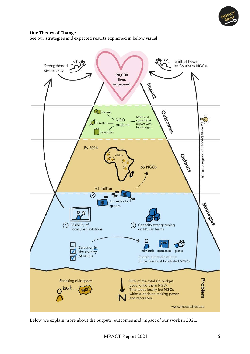

#### **Our Theory of Change**

See our strategies and expected results explained in below visual:



Below we explain more about the outputs, outcomes and impact of our work in 2021.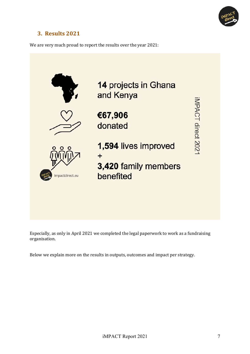![](_page_6_Picture_0.jpeg)

# **3. Results 2021**

We are very much proud to report the results over the year 2021:

![](_page_6_Figure_3.jpeg)

Especially, as only in April 2021 we completed the legal paperwork to work as a fundraising organisation. 

Below we explain more on the results in outputs, outcomes and impact per strategy.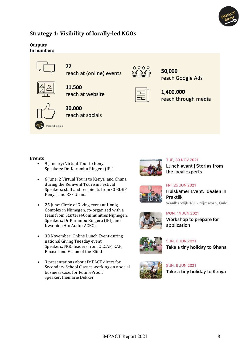![](_page_7_Picture_0.jpeg)

## **Strategy 1: Visibility of locally-led NGOs**

#### **Outputs** In numbers

![](_page_7_Figure_3.jpeg)

77

reach at (online) events

![](_page_7_Picture_5.jpeg)

11,500 reach at website

![](_page_7_Picture_7.jpeg)

## 30,000 reach at socials

![](_page_7_Picture_9.jpeg)

50,000 reach Google Ads

![](_page_7_Picture_11.jpeg)

#### **Events**

- 9 January: Virtual Tour to Kenya Speakers: Dr. Karambu Ringera (IPI)
- 6 June: 2 Virtual Tours to Kenya and Ghana during the Reinvent Tourism Festival Speakers: staff and recipients from COSDEP Kenya, and RSS Ghana.
- 25 June: Circle of Giving event at Honig Complex in Nijmegen, co-organised with a team from Starters4Communities Nijmegen. Speakers: Dr Karambu Ringera (IPI) and Kwamina Ato Addo (ACEC).
- 30 November: Online Lunch Event during national Giving Tuesday event. Speakers: NGO leaders from OLCAP, KAF, Pinasol and Vision of the Blind
- 3 presentations about iMPACT direct for Secondary School Classes working on a social business case, for FutureProof. Speaker: Inemarie Dekker

![](_page_7_Picture_18.jpeg)

### **TUE, 30 NOV 2021** Lunch event | Stories from the local experts

![](_page_7_Picture_20.jpeg)

## FRI, 25 JUN 2021 Huiskamer Event: Idealen in Praktijk

Waalbandijk 14E · Nijmegen, Geld.

![](_page_7_Picture_23.jpeg)

# **MON, 14 JUN 2021**

Workshop to prepare for application

![](_page_7_Picture_26.jpeg)

## **SUN, 6 JUN 2021** Take a tiny holiday to Ghana

![](_page_7_Picture_28.jpeg)

**SUN, 6 JUN 2021** Take a tiny holiday to Kenya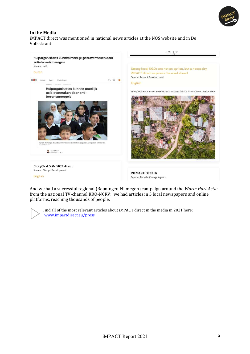![](_page_8_Picture_0.jpeg)

#### **In the Media**

iMPACT direct was mentioned in national news articles at the NOS website and in De Volkskrant:

![](_page_8_Picture_3.jpeg)

And we had a successful regional (Beuningen-Nijmegen) campaign around the *Warm Hart Actie* from the national TV-channel KRO-NCRV; we had articles in 5 local newspapers and online platforms, reaching thousands of people.

![](_page_8_Picture_5.jpeg)

Find all of the most relevant articles about iMPACT direct in the media in 2021 here: www.impactdirect.eu/press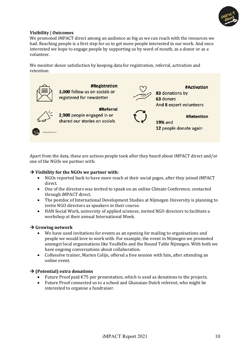![](_page_9_Picture_0.jpeg)

#### **Visibility | Outcomes**

We promoted iMPACT direct among an audience as big as we can reach with the resources we had. Reaching people is a first step for us to get more people interested in our work. And once interested we hope to engage people by supporting us by word of mouth, as a donor or as a volunteer.

We monitor donor satisfaction by keeping data for registration, referral, activation and retention:

![](_page_9_Figure_4.jpeg)

Apart from the data, these are actions people took after they heard about iMPACT direct and/or one of the NGOs we partner with:

#### $\rightarrow$  Visibility for the NGOs we partner with:

- NGOs reported back to have more reach at their social pages, after they joined iMPACT direct.
- One of the directors was invited to speak on an online Climate Conference, contacted through iMPACT direct.
- The postdoc of International Development Studies at Nijmegen University is planning to invite NGO directors as speakers in their course.
- HAN Social Work, university of applied sciences, invited NGO directors to facilitate a workshop at their annual International Week.

#### $\rightarrow$  Growing network

- We have used invitations for events as an opening for mailing to organisations and people we would love to work with. For example, the event in Nijmegen we promoted amongst local organisations like YouBeDo and the Round Table Nijmegen. With both we have ongoing conversations about collaboration.
- CoResolve trainer, Marien Colijn, offered a free session with him, after attending an online event.

#### $\rightarrow$  **(Potential) extra donations**

- Future Proof paid  $\epsilon$ 75 per presentation, which is used as donations to the projects.
- Future Proof connected us to a school and Ghanaian-Dutch referent, who might be interested to organise a fundraiser.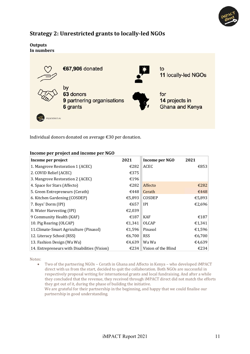![](_page_10_Picture_0.jpeg)

## **Strategy 2: Unrestricted grants to locally-led NGOs**

#### **Outputs** In numbers

![](_page_10_Picture_3.jpeg)

Individual donors donated on average €30 per donation.

#### **Income per project and income per NGO**

| Income per project                           | 2021   | Income per NGO      | 2021   |
|----------------------------------------------|--------|---------------------|--------|
| 1. Mangrove Restoration 1 (ACEC)             | €282   | ACEC                | €853   |
| 2. COVID Relief (ACEC)                       | €375   |                     |        |
| 3. Mangrove Restoration 2 (ACEC)             | €196   |                     |        |
| 4. Space for Stars (Affecto)                 | €282   | Affecto             | €282   |
| 5. Green Entrepreneurs (Cerath)              | €448   | Cerath              | €448   |
| 6. Kitchen Gardening (COSDEP)                | €5.893 | <b>COSDEP</b>       | €5,893 |
| 7. Boys' Dorm (IPI)                          | €657   | IPI                 | €2,696 |
| 8. Water Harvesting (IPI)                    | €2,039 |                     |        |
| 9 Community Health (KAF)                     | €187   | <b>KAF</b>          | €187   |
| 10. Pig Rearing (OLCAP)                      | €1,341 | OLCAP               | €1,341 |
| 11. Climate-Smart Agriculture (Pinasol)      | €1,596 | Pinasol             | €1,596 |
| 12. Literacy School (RSS)                    | €6,700 | <b>RSS</b>          | €6,700 |
| 13. Fashion Design (Wa Wa)                   | €4.639 | Wa Wa               | €4,639 |
| 14. Entrepreneurs with Disabilities (Vision) | €234   | Vision of the Blind | €234   |

Notes:

• Two of the partnering NGOs – Cerath in Ghana and Affecto in Kenya – who developed iMPACT direct with us from the start, decided to quit the collaboration. Both NGOs are successful in respectively proposal writing for international grants and local fundraising. And after a while they concluded that the revenue, they received through iMPACT direct did not match the efforts they got out of it, during the phase of building the initiative.

We are grateful for their partnership in the beginning, and happy that we could finalise our partnership in good understanding.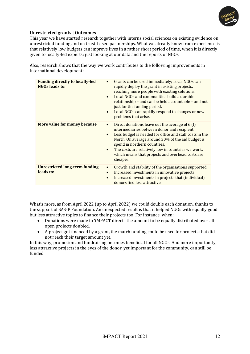![](_page_11_Picture_0.jpeg)

#### **Unrestricted grants | Outcomes**

This year we have started research together with interns social sciences on existing evidence on unrestricted funding and on trust-based partnerships. What we already know from experience is that relatively low budgets can improve lives in a rather short period of time, when it is directly given to locally-led experts; just looking at our data and the reports of NGOs.

Also, research shows that the way we work contributes to the following improvements in international development:

| <b>Funding directly to locally-led</b><br><b>NGOs leads to:</b> | Grants can be used immediately; Local NGOs can<br>$\bullet$<br>rapidly deploy the grant in existing projects,<br>reaching more people with existing solutions.<br>Local NGOs and communities build a durable<br>$\bullet$<br>relationship – and can be held accountable – and not<br>just for the funding period.<br>Local NGOs can rapidly respond to changes or new<br>$\bullet$<br>problems that arise.  |
|-----------------------------------------------------------------|-------------------------------------------------------------------------------------------------------------------------------------------------------------------------------------------------------------------------------------------------------------------------------------------------------------------------------------------------------------------------------------------------------------|
| More value for money because                                    | Direct donations leave out the average of 6 (!)<br>$\bullet$<br>intermediaries between donor and recipient.<br>Less budget is needed for office and staff costs in the<br>$\bullet$<br>North. On average around 30% of the aid budget is<br>spend in northern countries.<br>The costs are relatively low in countries we work,<br>$\bullet$<br>which means that projects and overhead costs are<br>cheaper. |
| Unrestricted long-term funding<br>leads to:                     | Growth and stability of the organisations supported<br>Increased investments in innovative projects<br>$\bullet$<br>Increased investments in projects that (individual)<br>donors find less attractive                                                                                                                                                                                                      |

What's more, as from April 2022 (up to April 2022) we could double each donation, thanks to the support of SAS-P Foundation. An unexpected result is that it helped NGOs with equally good but less attractive topics to finance their projects too. For instance, when:

- Donations were made to 'iMPACT direct', the amount to be equally distributed over all open projects doubled.
- A project got financed by a grant, the match funding could be used for projects that did not reach their target amount yet.

In this way, promotion and fundraising becomes beneficial for all NGOs. And more importantly, less attractive projects in the eyes of the donor, yet important for the community, can still be funded.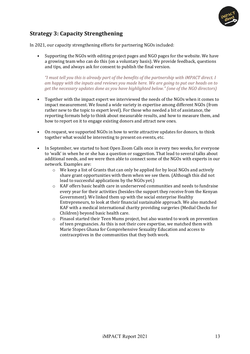![](_page_12_Picture_0.jpeg)

## **Strategy 3: Capacity Strengthening**

In 2021, our capacity strengthening efforts for partnering NGOs included:

Supporting the NGOs with editing project pages and NGO pages for the website. We have a growing team who can do this (on a voluntary basis). We provide feedback, questions and tips, and always ask for consent to publish the final version.

*"I* must tell you this is already part of the benefits of the partnership with iMPACT direct. I am happy with the inputs and reviews you made here. We are going to put our heads on to *get the necessary updates done as you have highlighted below." (one of the NGO directors)* 

- Together with the impact expert we interviewed the needs of the NGOs when it comes to impact measurement. We found a wide variety in expertise among different NGOs (from rather new to the topic to expert level). For those who needed a bit of assistance, the reporting formats help to think about measurable results, and how to measure them, and how to report on it to engage existing donors and attract new ones.
- On request, we supported NGOs in how to write attractive updates for donors, to think together what would be interesting to present on events, etc.
- In September, we started to host Open Zoom Calls once in every two weeks, for everyone to 'walk' in when he or she has a question or suggestion. That lead to several talks about additional needs, and we were then able to connect some of the NGOs with experts in our network. Examples are:
	- $\circ$  We keep a list of Grants that can only be applied for by local NGOs and actively share grant opportunities with them when we see them. (Although this did not lead to successful applications by the NGOs yet.)
	- o KAF offers basic health care in underserved communities and needs to fundraise every year for their activities (besides the support they receive from the Kenyan Government). We linked them up with the social enterprise Healthy Entrepreneurs, to look at their financial sustainable approach. We also matched KAF with a medical international charity providing surgeries (Medial Checks for Children) beyond basic health care.
	- $\circ$  Pinasol started their Teen Mums project, but also wanted to work on prevention of teen pregnancies. As this is not their core expertise, we matched them with Marie Stopes Ghana for Comprehensive Sexuality Education and access to contraceptives in the communities that they both work.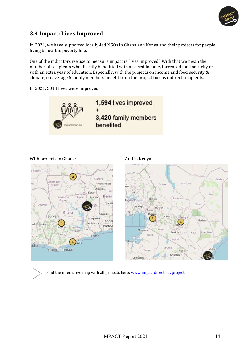![](_page_13_Picture_0.jpeg)

## **3.4 Impact: Lives Improved**

In 2021, we have supported locally-led NGOs in Ghana and Kenya and their projects for people living below the poverty line.

One of the indicators we use to measure impact is 'lives improved'. With that we mean the number of recipients who directly benefitted with a raised income, increased food security or with an extra year of education. Especially, with the projects on income and food security  $&$ climate, on average 5 family members benefit from the project too, as indirect recipients.

In 2021, 5014 lives were improved:

![](_page_13_Picture_5.jpeg)

#### With projects in Ghana: And in Kenya:

![](_page_13_Figure_7.jpeg)

![](_page_13_Figure_9.jpeg)

Find the interactive map with all projects here: www.impactdirect.eu/projects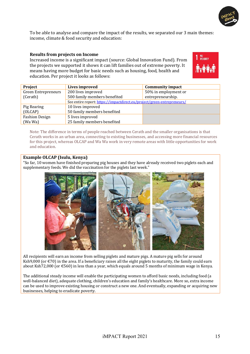![](_page_14_Picture_0.jpeg)

To be able to analyse and compare the impact of the results, we separated our 3 main themes: income, climate & food security and education:

#### **Results from projects on Income**

Increased income is a significant impact (source: Global Innovation Fund). From the projects we supported it shows it can lift families out of extreme poverty. It means having more budget for basic needs such as housing, food, health and education. Per project it looks as follows:

| POVERTY |
|---------|
|         |

| Project                    | Lives improved                                                          | <b>Community impact</b> |
|----------------------------|-------------------------------------------------------------------------|-------------------------|
| <b>Green Entrepreneurs</b> | 200 lives improved                                                      | 50% in employment or    |
| (Cerath)                   | 500 family members benefited                                            | entrepreneurship.       |
|                            | See entire report: https://impactdirect.eu/project/green-entrepreneurs/ |                         |
| Pig Rearing                | 10 lives improved                                                       |                         |
| (OLCAP)                    | 50 family members benefited                                             |                         |
| <b>Fashion Design</b>      | 5 lives improved                                                        |                         |
| (Wa Wa)                    | 25 family members benefited                                             |                         |

Note: The difference in terms of people reached between Cerath and the smaller organisations is that Cerath works in an urban area, connecting to existing businesses, and accessing more financial resources for this project, whereas OLCAP and Wa Wa work in very remote areas with little opportunities for work and education.

#### **Example OLCAP** (Isulu, Kenya)

"So far, 10 women have finished preparing pig houses and they have already received two piglets each and supplementary feeds. We did the vaccination for the piglets last week.'

![](_page_14_Picture_9.jpeg)

All recipients will earn an income from selling piglets and mature pigs. A mature pig sells for around Ksh9,000 (or  $\epsilon$ 70) in the area. If a beneficiary raises all the eight piglets to maturity, the family could earn about Ksh72,000 (or €560) in less than a year, which equals around 5 months of minimum wage in Kenya.

The additional steady income will enable the participating women to afford basic needs, including food (a well-balanced diet), adequate clothing, children's education and family's healthcare. More so, extra income can be used to improve existing housing or construct a new one. And eventually, expanding or acquiring new businesses, helping to eradicate poverty.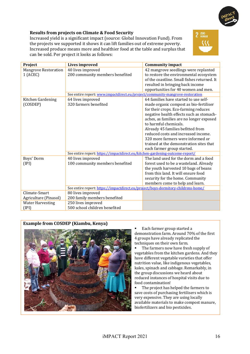![](_page_15_Picture_0.jpeg)

#### **Results from projects on Climate & Food Security**

Increased yield is a significant impact (source: Global Innovation Fund). From the projects we supported it shows it can lift families out of extreme poverty. Increased produce means more and healthier food at the table and surplus that can be sold. Per project it looks as follows:

![](_page_15_Picture_3.jpeg)

| Project                                                                      | <b>Lives improved</b>                                                             | <b>Community impact</b>                                                        |
|------------------------------------------------------------------------------|-----------------------------------------------------------------------------------|--------------------------------------------------------------------------------|
| <b>Mangrove Restoration</b><br>1(ACEC)                                       | 40 lives improved<br>200 community members benefited                              | 42 mangrove seedlings were replanted<br>to restore the environmental ecosystem |
|                                                                              |                                                                                   | of the coastline. Small fishes returned. It                                    |
|                                                                              |                                                                                   | resulted in bringing back income                                               |
|                                                                              |                                                                                   | opportunities for 40 women and men.                                            |
|                                                                              | See entire report: www.impactdirect.eu/project/community-mangrove-restoration     |                                                                                |
| Kitchen Gardening                                                            | 64 lives improved                                                                 | 64 families have started to use self-                                          |
| (COSDEP)                                                                     | 320 farmers benefited                                                             | made organic compost as bio-fertiliser                                         |
|                                                                              |                                                                                   | for their crops. Eco-farming reduces                                           |
|                                                                              |                                                                                   | negative health effects such as stomach-                                       |
|                                                                              |                                                                                   | aches, as families are no longer exposed                                       |
|                                                                              |                                                                                   | to harmful chemicals.                                                          |
|                                                                              |                                                                                   | Already 45 families befitted from                                              |
|                                                                              |                                                                                   | reduced costs and increased income.                                            |
|                                                                              |                                                                                   | 320 more farmers were informed or                                              |
|                                                                              |                                                                                   | trained at the demonstration sites that                                        |
|                                                                              |                                                                                   | each farmer group started.                                                     |
| See entire report: https://impactdirect.eu/kitchen-gardening-outcome-report/ |                                                                                   |                                                                                |
| Boys' Dorm                                                                   | 40 lives improved                                                                 | The land used for the dorm and a food                                          |
| (IPI)                                                                        | 100 community members benefited                                                   | forest used to be a wasteland. Already                                         |
|                                                                              |                                                                                   | the youth harvested 10 bags of beans                                           |
|                                                                              |                                                                                   | from this land. It will ensure food                                            |
|                                                                              |                                                                                   | security for the home. Community                                               |
|                                                                              |                                                                                   | members come to help and learn.                                                |
|                                                                              | See entire report: https://impactdirect.eu/project/boys-dormitory-childrens-home/ |                                                                                |
| Climate-Smart                                                                | 80 lives improved                                                                 |                                                                                |
| Agriculture (Pinasol)                                                        | 200 family members benefited                                                      |                                                                                |
| <b>Water Harvesting</b>                                                      | 250 lives improved                                                                |                                                                                |
| (IPI)                                                                        | 500 school children benefited                                                     |                                                                                |

#### **Example from COSDEP (Kiambu, Kenya)**

![](_page_15_Picture_6.jpeg)

■ Each farmer group started a demonstration farm. Around 70% of the first 4 groups have already replicated the techniques on their own farm.

 $\blacksquare$  The farmers now have fresh supply of vegetables from the kitchen gardens. And they have different vegetable varieties that offer nutrition value, like indigenous vegetables, kales, spinach and cabbage. Remarkably, in the group discussions we heard about reduced instances of hospital visits due to food contamination!

■ The project has helped the farmers to save costs of purchasing fertilisers which is very expensive. They are using locally available materials to make compost manure, biofertilizers and bio pesticides.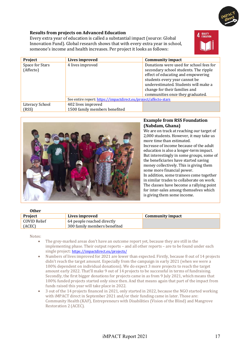![](_page_16_Picture_0.jpeg)

#### **Results from projects on Advanced Education**

Every extra year of education is called a substantial impact (source: Global Innovation Fund). Global research shows that with every extra year in school, someone's income and health increases. Per project it looks as follows:

![](_page_16_Picture_3.jpeg)

| Project         | Lives improved                                                   | <b>Community impact</b>                 |
|-----------------|------------------------------------------------------------------|-----------------------------------------|
| Space for Stars | 4 lives improved                                                 | Donations were used for school fees for |
| (Affecto)       |                                                                  | secondary school students. The ripple   |
|                 |                                                                  | effect of educating and empowering      |
|                 |                                                                  | students every year cannot be           |
|                 |                                                                  | underestimated. Students will make a    |
|                 |                                                                  | change for their families and           |
|                 |                                                                  | communities once they graduated.        |
|                 | See entire report: https://impactdirect.eu/project/affecto-stars |                                         |
| Literacy School | 402 lives improved                                               |                                         |
| (RSS)           | 1500 family members benefited                                    |                                         |

![](_page_16_Picture_5.jpeg)

#### **Example from RSS Foundation (Nabdam, Ghana)**

We are on track at reaching our target of 2,000 students. However, it may take us more time than estimated. Increase of income because of the adult education is also a longer-term impact. But interestingly in some groups, some of the beneficiaries have started saving money collectively. This is giving them some more financial power.

In addition, some trainees come together in similar trades to collaborate on work. The classes have become a rallying point for inter-sales among themselves which is giving them some income.

#### **Other**

| <b>Project</b> | Lives improved               | Community impact |
|----------------|------------------------------|------------------|
| COVID Relief   | 64 people reached directly   |                  |
| (ACEC)         | 300 family members benefited |                  |

Notes:

- The grey-marked areas don't have an outcome report yet, because they are still in the implementing phase. Their output reports – and all other reports – are to be found under each single project: https://impactdirect.eu/projects/
- Numbers of lives improved for 2021 are lower than expected. Firstly, because 8 out of 14 projects didn't reach the target amount. Especially from the campaign in early 2021 (when we were a 100% dependent on individual donations). We do expect  $3$  more projects to reach the target amount early 2022. That'll make 9 out of 14 projects to be successful in terms of fundraising. Secondly, the first bigger donations for projects came in as from 9 July 2021, which means that 100% funded projects started only since then. And that means again that part of the impact from funds raised this year will take place in 2022.
- 3 out of the 14 projects financed in 2021, only started in 2022, because the NGO started working with iMPACT direct in September 2021 and/or their funding came in later. Those are: Community Health (KAF), Entrepreneurs with Disabilities (Vision of the Blind) and Mangrove Restoration 2 (ACEC).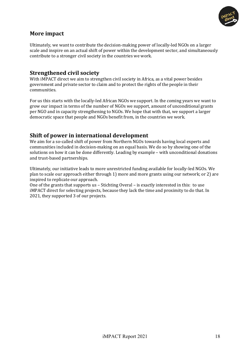![](_page_17_Picture_0.jpeg)

## **More** impact

Ultimately, we want to contribute the decision-making power of locally-led NGOs on a larger scale and inspire on an actual shift of power within the development sector, and simultaneously contribute to a stronger civil society in the countries we work.

## **Strengthened civil society**

With iMPACT direct we aim to strengthen civil society in Africa, as a vital power besides government and private sector to claim and to protect the rights of the people in their communities. 

For us this starts with the locally-led African NGOs we support. In the coming years we want to grow our impact in terms of the number of NGOs we support, amount of unconditional grants per NGO and in capacity strengthening to NGOs. We hope that with that, we support a larger democratic space that people and NGOs benefit from, in the countries we work.

## **Shift of power in international development**

We aim for a so-called shift of power from Northern NGOs towards having local experts and communities included in decision-making on an equal basis. We do so by showing one of the solutions on how it can be done differently. Leading by example - with unconditional donations and trust-based partnerships.

Ultimately, our initiative leads to more unrestricted funding available for locally-led NGOs. We plan to scale our approach either through 1) more and more grants using our network; or 2) are inspired to replicate our approach.

One of the grants that supports us – Stichting Overal – is exactly interested in this: to use iMPACT direct for selecting projects, because they lack the time and proximity to do that. In 2021, they supported 3 of our projects.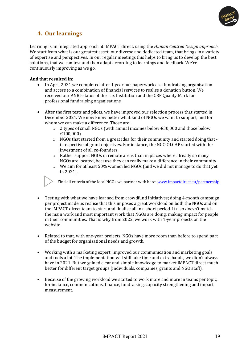![](_page_18_Picture_0.jpeg)

# **4. Our learnings**

Learning is an integrated approach at iMPACT direct, using the *Human Centred Design approach.* We start from what is our greatest asset; our diverse and dedicated team, that brings in a variety of expertise and perspectives. In our regular meetings this helps to bring us to develop the best solutions, that we can test and then adapt according to learnings and feedback. We're continuously improving as we go.

#### **And that resulted in:**

- In April 2021 we completed after 1 year our paperwork as a fundraising organisation and access to a combination of financial services to realise a donation button. We received our ANBI-status of the Tax Institution and the CBF Quality Mark for professional fundraising organisations.
- After the first tests and pilots, we have improved our selection process that started in December 2021. We now know better what kind of NGOs we want to support, and for whom we can make a difference. Those are:
	- $\circ$  2 types of small NGOs (with annual incomes below €30,000 and those below €100,000)
	- $\circ$  NGOs that started from a great idea for their community and started doing that irrespective of grant objectives. For instance, the NGO OLCAP started with the investment of all co-founders.
	- $\circ$  Rather support NGOs in remote areas than in places where already so many NGOs are located, because they can really make a difference in their community.
	- $\circ$  We aim for at least 50% women led NGOs (and we did not manage to do that yet in 2021).

Find all criteria of the local NGOs we partner with here: www.impactdirect.eu/partnership

- Testing with what we have learned from crowdfund initiatives; doing 4-month campaign per project made us realise that this imposes a great workload on both the NGOs and on the iMPACT direct team to start and finalise all in a short period. It also doesn't match the main work and most important work that NGOs are doing: making impact for people in their communities. That is why from 2022, we work with 1-year projects on the website.
- Related to that, with one-year projects, NGOs have more room than before to spend part of the budget for organisational needs and growth.
- Working with a marketing expert, improved our communication and marketing goals and tools a lot. The implementation will still take time and extra hands, we didn't always have in 2021. But we gained clear and simple knowledge to market iMPACT direct much better for different target groups (individuals, companies, grants and NGO staff).
- Because of the growing workload we started to work more and more in teams per topic, for instance, communications, finance, fundraising, capacity strengthening and impact measurement.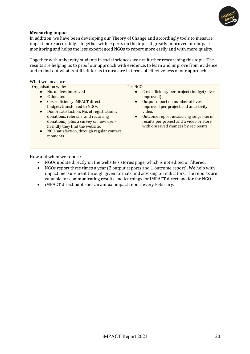![](_page_19_Picture_0.jpeg)

#### **Measuring impact**

In addition, we have been developing our Theory of Change and accordingly tools to measure impact more accurately – together with experts on the topic. It greatly improved our impact monitoring and helps the less experienced NGOs to report more easily and with more quality.

Together with university students in social sciences we are further researching this topic. The results are helping us to proof our approach with evidence, to learn and improve from evidence and to find out what is still left for us to measure in terms of effectiveness of our approach.

What we measure:

Organisation wide:

- No. of lives improved
- $\epsilon$  donated
- Cost-efficiency iMPACT direct: budget/transferred to NGOs
- Donor satisfaction: No. of registrations, donations, referrals, and recurring donations), plus a survey on how userfriendly they find the website.
- NGO satisfaction, through regular contact moments

Per NGO:

- Cost-efficiency per project (budget/ lives improved)
- Output report on number of lives improved per project and an activity video.
- Outcome report measuring longer-term results per project and a video or story with observed changes by recipients.

How and when we report:

- NGOs update directly on the website's stories page, which is not edited or filtered.
- NGOs report three times a year (2 output reports and 1 outcome report). We help with impact measurement through given formats and advising on indicators. The reports are valuable for communicating results and learnings for iMPACT direct and for the NGO.
- iMPACT direct publishes an annual impact report every February.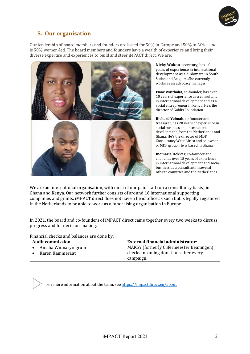![](_page_20_Picture_0.jpeg)

## **5. Our organisation**

Our leadership of board members and founders are based for 50% in Europe and 50% in Africa and is 50% women-led. The board members and founders have a wealth of experience and bring their diverse expertise and experiences to build and steer iMPACT direct. We are:

![](_page_20_Picture_3.jpeg)

**Nicky Wakou**, secretary, has 10 years of experience in international development as a diplomate in South Sudan and Belgium. She currently works as an advocacy manager.

**Isaac Waithaka**, co-founder, has over 10 years of experience as a consultant in international development and as a social entrepreneur in Kenya. He's the director of Goblis Foundation.

**Richard Yeboah**, co-founder and treasurer, has 20 years of experience in social business and international development, from the Netherlands and Ghana. He's the director of MDF Consultancy West Africa and co-owner of MDF group. He is based in Ghana.

**Inemarie Dekker**, co-founder and chair, has over 15 years of experience in international development and social business as a consultant in several African countries and the Netherlands.

We are an international organisation, with most of our paid staff (on a consultancy basis) in Ghana and Kenya. Our network further consists of around 16 international supporting companies and grants. iMPACT direct does not have a head office as such but is legally registered in the Netherlands to be able to work as a fundraising organisation in Europe.

In 2021, the board and co-founders of iMPACT direct came together every two weeks to discuss progress and for decision-making.

Financial checks and balances are done by:

| <b>Audit commission</b> |                      | <b>External financial administrator:</b> |  |
|-------------------------|----------------------|------------------------------------------|--|
|                         | Amalia Widnasyingrum | MAKSY (formerly Cijfermeester Beuningen) |  |
|                         | Karen Kammeraat      | checks incoming donations after every    |  |
|                         |                      | campaign.                                |  |

For more information about the team, see https://impactdirect.eu/about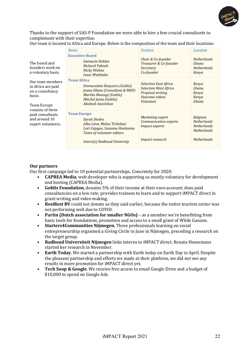![](_page_21_Picture_0.jpeg)

Thanks to the support of SAS-P Foundation we were able to hire a few crucial consultants to complement with their expertise.

|                                                                                     | <b>Name</b>                                                                                                                                                  | <b>Position</b>                                                                                                 | Location                                                                         |
|-------------------------------------------------------------------------------------|--------------------------------------------------------------------------------------------------------------------------------------------------------------|-----------------------------------------------------------------------------------------------------------------|----------------------------------------------------------------------------------|
| The board and<br>founders work on<br>a voluntary basis.                             | <b>Executive Board</b><br>Inemarie Dekker<br>Richard Yeboah<br>Nicky Wakou<br>Isaac Waithaka                                                                 | Chair & Co-founder<br>Treasurer & Co-founder<br>Secretary<br>Co-founder                                         | <b>Netherlands</b><br>Ghana<br>Netherlands<br>Kenya                              |
| Our team members<br>in Africa are paid<br>on a consultancy<br>basis.<br>Team Europe | <b>Team Africa</b><br>Emmaculate Kanyuiro (Goblis)<br>Joana Ohene (Consultant & MDF)<br>Martha Mwangi (Goblis)<br>Mitchel Juma (Goblis)<br>Abolnab Azantilow | <b>Selection East Africa</b><br><b>Selection West Africa</b><br>Proposal writing<br>Outcome videos<br>Volunteer | Kenya<br>Ghana<br>Kenya<br>Kenya<br>Ghana                                        |
| consists of three<br>paid consultants<br>and around 10<br>expert volunteers.        | <b>Team Europe</b><br>Sarah Diedro<br>Alba Léon, Malou Tichelaar<br>Lori Cajegas, Suzanne Hoeksema<br>Team of volunteer editors                              | Marketing expert<br>Communication experts<br><i>Impact experts</i>                                              | <b>Belgium</b><br><b>Netherlands</b><br><b>Netherlands</b><br><b>Netherlands</b> |
|                                                                                     | Intern(s) Radboud University                                                                                                                                 | Impact research                                                                                                 | <b>Netherlands</b>                                                               |

Our team is located in Africa and Europe. Below is the composition of the team and their locations:

#### **Our partners**

Our first campaign led to 10 potential partnerships. Concretely for 2020:

- **CAPREA Media**; web developer who is supporting us mostly voluntary for development and hosting (CAPREA Media).
- **Goblis Foundation**, donates 5% of their income at their euro account; does paid consultancies on a low rate; provides trainees to learn and to support iMPACT direct in grant writing and video making.
- **ResiRest BV** could not donate as they said earlier, because the entire tourism sector was not performing well due to COVID.
- **Partin (Dutch association for smaller NGOs)** as a member we're benefitting from basic tools for foundations, promotion and access to a small grant of Wilde Ganzen.
- Starters4Communities Nijmegen. Three professionals learning on social entrepreneurship organised a Giving Circle in June in Nijmegen, preceding a research on the target group.
- Radboud Universiteit Niimegen links interns to iMPACT direct. Renata Heezemans started her research in November.
- Earth Today. We started a partnership with Earth today on Earth Day in April. Despite the pleasant partnership and efforts we made at their platform, we did not see any results in more promotion for iMPACT direct yet.
- **Tech Soup & Google**. We receive free access to email Google Drive and a budget of \$10,000 to spend on Google Ads.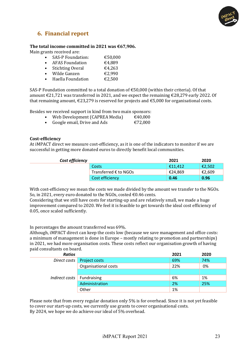![](_page_22_Picture_0.jpeg)

## **6. Financial report**

#### The total income committed in 2021 was  $€67,906$ .

Main grants received are:

| $\bullet$ | <b>SAS-P Foundation:</b> | €50,000 |
|-----------|--------------------------|---------|
| $\bullet$ | <b>AFAS Foundation</b>   | €4,889  |
| $\bullet$ | <b>Stichting Overal</b>  | €4,263  |
| $\bullet$ | Wilde Ganzen             | €2,990  |
| $\bullet$ | Haella Foundation        | €2,500  |

SAS-P Foundation committed to a total donation of  $\epsilon$ 50,000 (within their criteria). Of that amount  $\epsilon$ 21,721 was transferred in 2021, and we expect the remaining  $\epsilon$ 28,279 early 2022. Of that remaining amount,  $\epsilon$ 23,279 is reserved for projects and  $\epsilon$ 5,000 for organisational costs.

Besides we received support in kind from two main sponsors:

- Web Development (CAPREA Media)  $\epsilon$ 40,000
- Google email, Drive and Ads  $\epsilon$ 72,000

#### **Cost-efficiency**

At iMPACT direct we measure cost-efficiency, as it is one of the indicators to monitor if we are successful in getting more donated euros to directly benefit local communities.

| Cost efficiency |                                | 2021    | 2020   |
|-----------------|--------------------------------|---------|--------|
|                 | Costs                          | €11.412 | €2,502 |
|                 | Transferred $\epsilon$ to NGOs | €24.869 | €2,609 |
|                 | Cost efficiency                | 0.46    | 0.96   |

With cost-efficiency we mean the costs we made divided by the amount we transfer to the NGOs. So, in 2021, every euro donated to the NGOs, costed  $\epsilon$ 0.46 cents.

Considering that we still have costs for starting-up and are relatively small, we made a huge improvement compared to 2020. We feel it is feasible to get towards the ideal cost efficiency of 0.05, once scaled sufficiently.

In percentages the amount transferred was 69%.

Although, iMPACT direct can keep the costs low (because we save management and office costs: a minimum of management is done in Europe – mostly relating to promotion and partnerships) in 2021, we had more organisation costs. These costs reflect our organisation growth of having paid consultants on board.

| <b>Ratios</b>  |                      | 2021 | 2020 |
|----------------|----------------------|------|------|
| Direct costs   | Project costs        | 69%  | 74%  |
|                | Organisational costs | 22%  | 0%   |
|                |                      |      |      |
| Indirect costs | Fundraising          | 6%   | 1%   |
|                | Administration       | 2%   | 25%  |
|                | Other                | 1%   |      |

Please note that from every regular donation only 5% is for overhead. Since it is not yet feasible to cover our start-up costs, we currently use grants to cover organisational costs. By 2024, we hope we do achieve our ideal of 5% overhead.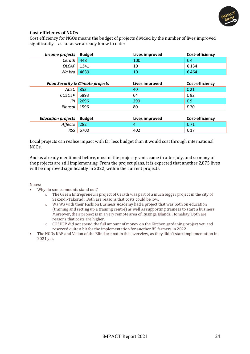![](_page_23_Picture_0.jpeg)

#### **Cost efficiency of NGOs**

Cost efficiency for NGOs means the budget of projects divided by the number of lives improved significantly  $-$  as far as we already know to date:

| Income projects           | <b>Budget</b>                               | Lives improved | Cost-efficiency |
|---------------------------|---------------------------------------------|----------------|-----------------|
| Cerath                    | 448                                         | 100            | $\epsilon$ 4    |
| <b>OLCAP</b>              | 1341                                        | 10             | € 134           |
| Wa Wa                     | 4639                                        | 10             | €464            |
|                           |                                             |                |                 |
|                           | <b>Food Security &amp; Climate projects</b> | Lives improved | Cost-efficiency |
| ACEC                      | 853                                         | 40             | € 21            |
| <b>COSDEP</b>             | 5893                                        | 64             | €92             |
| IPI                       | 2696                                        | 290            | $\epsilon$ 9    |
| Pinasol                   | 1596                                        | 80             | € 20            |
|                           |                                             |                |                 |
| <b>Education projects</b> | <b>Budget</b>                               | Lives improved | Cost-efficiency |
| Affecto                   | 282                                         | 4              | € 71            |
| <b>RSS</b>                | 6700                                        | 402            | € 17            |

Local projects can realise impact with far less budget than it would cost through international NGOs.

And as already mentioned before, most of the project grants came in after July, and so many of the projects are still implementing. From the project plans, it is expected that another 2,875 lives will be improved significantly in 2022, within the current projects.

#### Notes:

- Why do some amounts stand out?
	- $\circ$  The Green Entrepreneurs project of Cerath was part of a much bigger project in the city of Sekondi-Takoradi. Both are reasons that costs could be low.
	- $\circ$  Wa Wa with their Fashion Business Academy had a project that was both on education (training and setting up a training centre) as well as supporting trainees to start a business. Moreover, their project is in a very remote area of Rusinga Islands, Homabay. Both are reasons that costs are higher.
	- $\circ$  COSDEP did not spend the full amount of money on the Kitchen gardening project yet, and reserved quite a bit for the implementation for another 85 farmers in 2022.
- The NGOs KAF and Vision of the Blind are not in this overview, as they didn't start implementation in 2021 yet.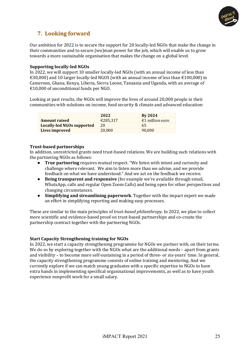![](_page_24_Picture_0.jpeg)

# **7. Looking forward**

Our ambition for 2022 is to secure the support for 20 locally-led NGOs that make the change in their communities and to secure (wo)man power for the job, which will enable us to grow towards a more sustainable organisation that makes the change on a global level.

#### **Supporting locally-led NGOs**

In 2022, we will support 10 smaller locally-led NGOs (with an annual income of less than €30,000) and 10 larger locally-led NGOS (with an annual income of less than €100,000) in Cameroon, Ghana, Kenya, Liberia, Sierra Leone, Tanzania and Uganda, with an average of €10,000 of unconditional funds per NGO.

Looking at past results, the NGOs will improve the lives of around 20,000 people in their communities with solutions on income, food security & climate and advanced education:

|                            | 2022     | Bv 2024         |
|----------------------------|----------|-----------------|
| <b>Amount raised</b>       | €285.317 | €1 million euro |
| Locally-led NGOs supported | 20       | 65              |
| Lives improved             | 20,000   | 90.000          |

#### **Trust-based partnerships**

In addition, unrestricted grants need trust-based relations. We are building such relations with the partnering NGOs as follows:

- **True partnering** requires mutual respect. "We listen with intent and curiosity and challenge where relevant. We aim to listen more than we advise, and we provide feedback on what we have understood." And we act on the feedback we receive.
- **Being transparent and responsive** (for example we're available through email, WhatsApp, calls and regular Open Zoom Calls) and being open for other perspectives and changing circumstances.
- Simplifying and streamlining paperwork. Together with the impact expert we made an effort in simplifying reporting and making easy processes.

These are similar to the main principles of *trust-based philanthropy*. In 2022, we plan to collect more scientific and evidence-based proof on trust-based partnerships and co-create the partnership contract together with the partnering NGOs.

#### **Start Capacity Strengthening training for NGOs**

In 2022, we start a capacity strengthening programme for NGOs we partner with, on their terms. We do so by exploring together with the NGOs what are the additional needs - apart from grants and visibility – to become more self-sustaining in a period of three- or six-years' time. In general, the capacity strengthening programme consists of online training and mentoring. And we currently explore if we can match young graduates with a specific expertise to NGOs to have extra hands in implementing specifical organisational improvements, as well as to have youth experience nonprofit work for a small salary.